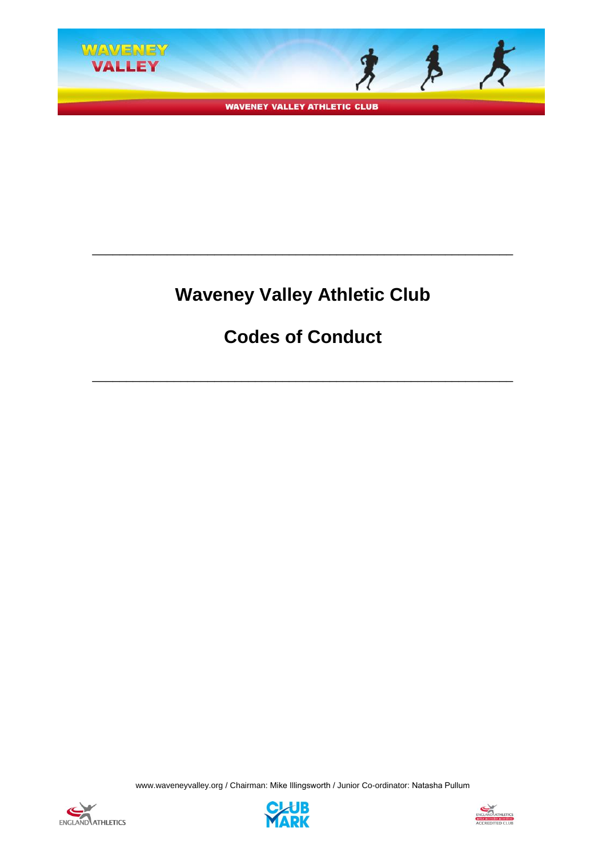

**WAVENEY VALLEY ATHLETIC CLUB** 

# **Waveney Valley Athletic Club**

\_\_\_\_\_\_\_\_\_\_\_\_\_\_\_\_\_\_\_\_\_\_\_\_\_\_\_\_\_\_\_\_\_\_\_\_\_\_\_\_\_\_\_\_\_\_\_\_\_\_\_\_\_\_\_\_\_\_\_\_\_\_

# **Codes of Conduct**

\_\_\_\_\_\_\_\_\_\_\_\_\_\_\_\_\_\_\_\_\_\_\_\_\_\_\_\_\_\_\_\_\_\_\_\_\_\_\_\_\_\_\_\_\_\_\_\_\_\_\_\_\_\_\_\_\_\_\_\_\_\_





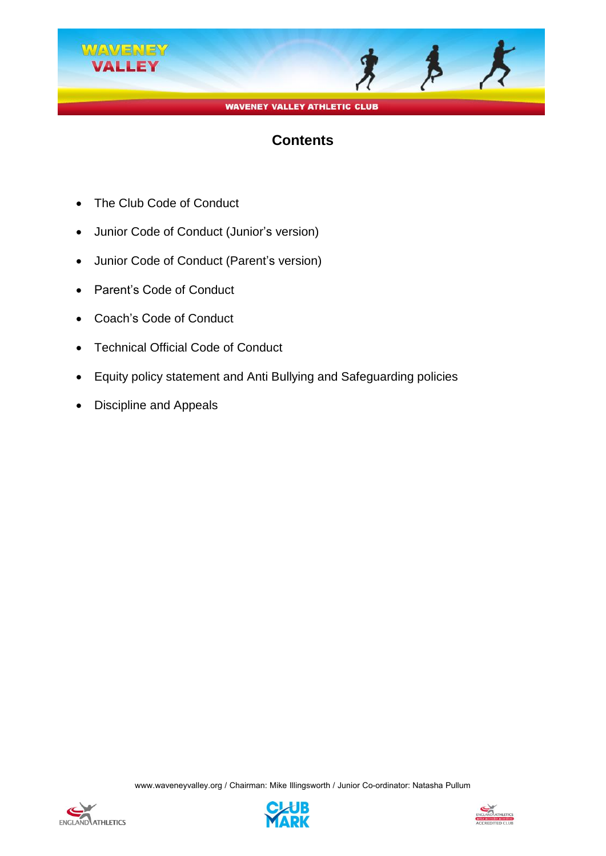

## **Contents**

- The Club Code of Conduct
- Junior Code of Conduct (Junior's version)
- Junior Code of Conduct (Parent's version)
- Parent's Code of Conduct
- Coach's Code of Conduct
- Technical Official Code of Conduct
- Equity policy statement and Anti Bullying and Safeguarding policies
- Discipline and Appeals





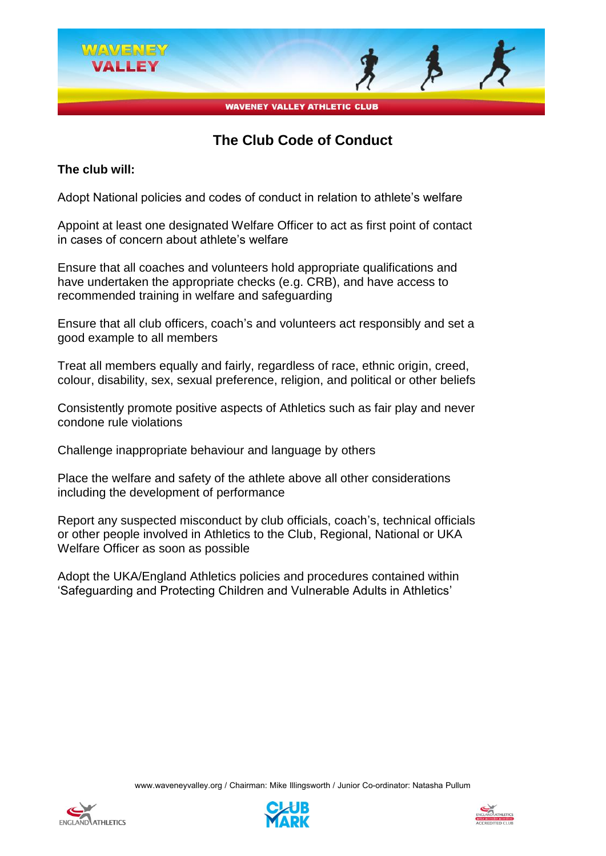

## **The Club Code of Conduct**

#### **The club will:**

Adopt National policies and codes of conduct in relation to athlete's welfare

Appoint at least one designated Welfare Officer to act as first point of contact in cases of concern about athlete's welfare

Ensure that all coaches and volunteers hold appropriate qualifications and have undertaken the appropriate checks (e.g. CRB), and have access to recommended training in welfare and safeguarding

Ensure that all club officers, coach's and volunteers act responsibly and set a good example to all members

Treat all members equally and fairly, regardless of race, ethnic origin, creed, colour, disability, sex, sexual preference, religion, and political or other beliefs

Consistently promote positive aspects of Athletics such as fair play and never condone rule violations

Challenge inappropriate behaviour and language by others

Place the welfare and safety of the athlete above all other considerations including the development of performance

Report any suspected misconduct by club officials, coach's, technical officials or other people involved in Athletics to the Club, Regional, National or UKA Welfare Officer as soon as possible

Adopt the UKA/England Athletics policies and procedures contained within 'Safeguarding and Protecting Children and Vulnerable Adults in Athletics'





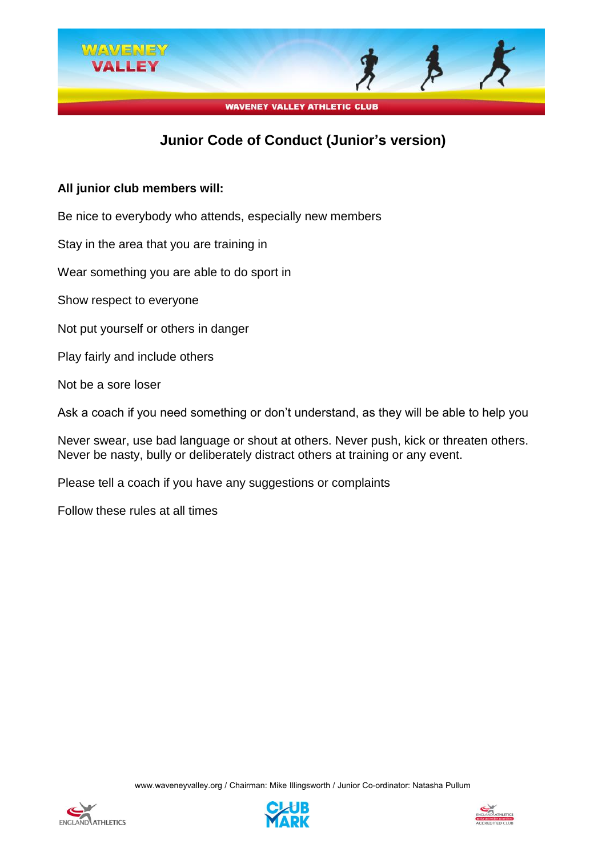

## **Junior Code of Conduct (Junior's version)**

#### **All junior club members will:**

Be nice to everybody who attends, especially new members

Stay in the area that you are training in

Wear something you are able to do sport in

Show respect to everyone

Not put yourself or others in danger

Play fairly and include others

Not be a sore loser

Ask a coach if you need something or don't understand, as they will be able to help you

Never swear, use bad language or shout at others. Never push, kick or threaten others. Never be nasty, bully or deliberately distract others at training or any event.

Please tell a coach if you have any suggestions or complaints

Follow these rules at all times





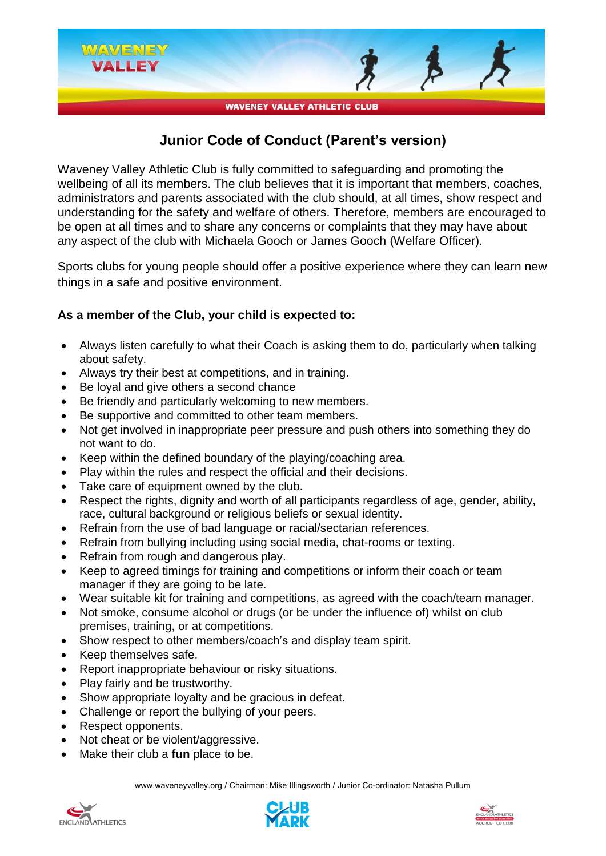

## **Junior Code of Conduct (Parent's version)**

Waveney Valley Athletic Club is fully committed to safeguarding and promoting the wellbeing of all its members. The club believes that it is important that members, coaches, administrators and parents associated with the club should, at all times, show respect and understanding for the safety and welfare of others. Therefore, members are encouraged to be open at all times and to share any concerns or complaints that they may have about any aspect of the club with Michaela Gooch or James Gooch (Welfare Officer).

Sports clubs for young people should offer a positive experience where they can learn new things in a safe and positive environment.

#### **As a member of the Club, your child is expected to:**

- Always listen carefully to what their Coach is asking them to do, particularly when talking about safety.
- Always try their best at competitions, and in training.
- Be loyal and give others a second chance
- Be friendly and particularly welcoming to new members.
- Be supportive and committed to other team members.
- Not get involved in inappropriate peer pressure and push others into something they do not want to do.
- Keep within the defined boundary of the playing/coaching area.
- Play within the rules and respect the official and their decisions.
- Take care of equipment owned by the club.
- Respect the rights, dignity and worth of all participants regardless of age, gender, ability, race, cultural background or religious beliefs or sexual identity.
- Refrain from the use of bad language or racial/sectarian references.
- Refrain from bullying including using social media, chat-rooms or texting.
- Refrain from rough and dangerous play.
- Keep to agreed timings for training and competitions or inform their coach or team manager if they are going to be late.
- Wear suitable kit for training and competitions, as agreed with the coach/team manager.
- Not smoke, consume alcohol or drugs (or be under the influence of) whilst on club premises, training, or at competitions.
- Show respect to other members/coach's and display team spirit.
- Keep themselves safe.
- Report inappropriate behaviour or risky situations.
- Play fairly and be trustworthy.
- Show appropriate loyalty and be gracious in defeat.
- Challenge or report the bullying of your peers.
- Respect opponents.
- Not cheat or be violent/aggressive.
- Make their club a **fun** place to be.





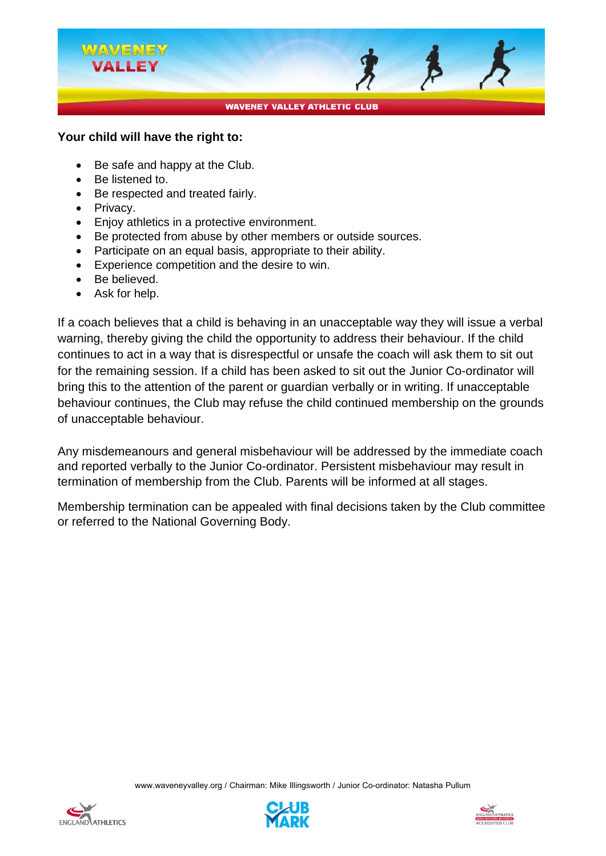

#### **Your child will have the right to:**

- Be safe and happy at the Club.
- Be listened to.
- Be respected and treated fairly.
- Privacy.
- Enjoy athletics in a protective environment.
- Be protected from abuse by other members or outside sources.
- Participate on an equal basis, appropriate to their ability.
- Experience competition and the desire to win.
- Be believed.
- Ask for help.

If a coach believes that a child is behaving in an unacceptable way they will issue a verbal warning, thereby giving the child the opportunity to address their behaviour. If the child continues to act in a way that is disrespectful or unsafe the coach will ask them to sit out for the remaining session. If a child has been asked to sit out the Junior Co-ordinator will bring this to the attention of the parent or guardian verbally or in writing. If unacceptable behaviour continues, the Club may refuse the child continued membership on the grounds of unacceptable behaviour.

Any misdemeanours and general misbehaviour will be addressed by the immediate coach and reported verbally to the Junior Co-ordinator. Persistent misbehaviour may result in termination of membership from the Club. Parents will be informed at all stages.

Membership termination can be appealed with final decisions taken by the Club committee or referred to the National Governing Body.





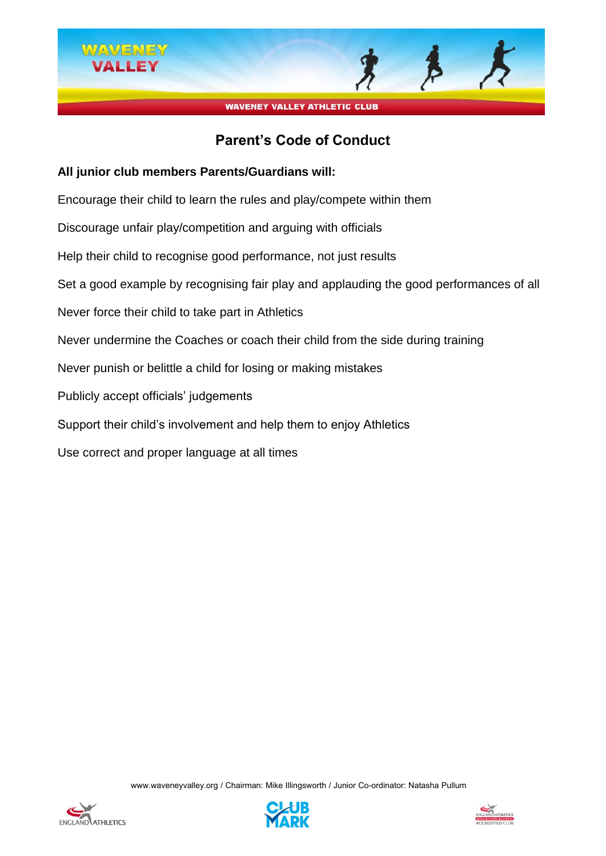

## **Parent's Code of Conduct**

#### **All junior club members Parents/Guardians will:**

Encourage their child to learn the rules and play/compete within them

Discourage unfair play/competition and arguing with officials

Help their child to recognise good performance, not just results

Set a good example by recognising fair play and applauding the good performances of all

Never force their child to take part in Athletics

Never undermine the Coaches or coach their child from the side during training

Never punish or belittle a child for losing or making mistakes

Publicly accept officials' judgements

Support their child's involvement and help them to enjoy Athletics

Use correct and proper language at all times





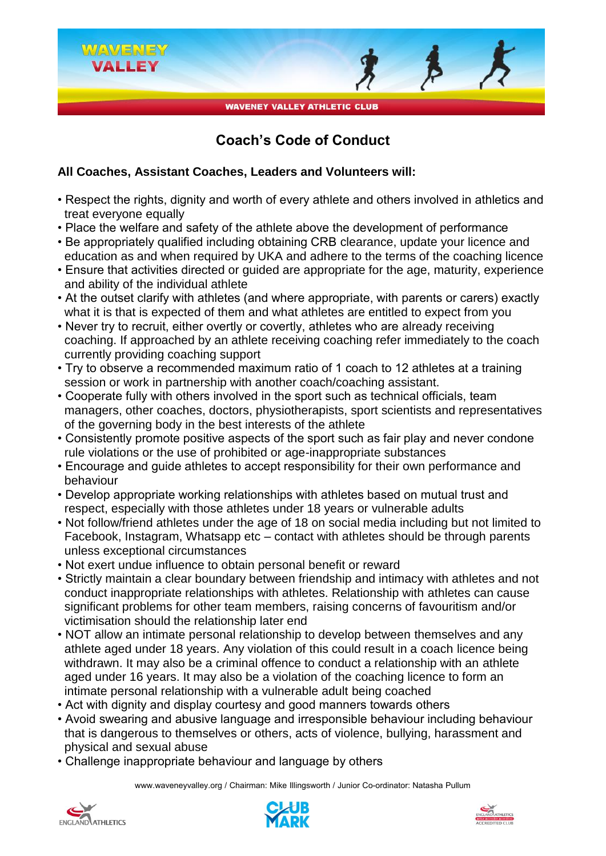

## **Coach's Code of Conduct**

#### **All Coaches, Assistant Coaches, Leaders and Volunteers will:**

- Respect the rights, dignity and worth of every athlete and others involved in athletics and treat everyone equally
- Place the welfare and safety of the athlete above the development of performance
- Be appropriately qualified including obtaining CRB clearance, update your licence and education as and when required by UKA and adhere to the terms of the coaching licence
- Ensure that activities directed or guided are appropriate for the age, maturity, experience and ability of the individual athlete
- At the outset clarify with athletes (and where appropriate, with parents or carers) exactly what it is that is expected of them and what athletes are entitled to expect from you
- Never try to recruit, either overtly or covertly, athletes who are already receiving coaching. If approached by an athlete receiving coaching refer immediately to the coach currently providing coaching support
- Try to observe a recommended maximum ratio of 1 coach to 12 athletes at a training session or work in partnership with another coach/coaching assistant.
- Cooperate fully with others involved in the sport such as technical officials, team managers, other coaches, doctors, physiotherapists, sport scientists and representatives of the governing body in the best interests of the athlete
- Consistently promote positive aspects of the sport such as fair play and never condone rule violations or the use of prohibited or age-inappropriate substances
- Encourage and guide athletes to accept responsibility for their own performance and behaviour
- Develop appropriate working relationships with athletes based on mutual trust and respect, especially with those athletes under 18 years or vulnerable adults
- Not follow/friend athletes under the age of 18 on social media including but not limited to Facebook, Instagram, Whatsapp etc – contact with athletes should be through parents unless exceptional circumstances
- Not exert undue influence to obtain personal benefit or reward
- Strictly maintain a clear boundary between friendship and intimacy with athletes and not conduct inappropriate relationships with athletes. Relationship with athletes can cause significant problems for other team members, raising concerns of favouritism and/or victimisation should the relationship later end
- NOT allow an intimate personal relationship to develop between themselves and any athlete aged under 18 years. Any violation of this could result in a coach licence being withdrawn. It may also be a criminal offence to conduct a relationship with an athlete aged under 16 years. It may also be a violation of the coaching licence to form an intimate personal relationship with a vulnerable adult being coached
- Act with dignity and display courtesy and good manners towards others
- Avoid swearing and abusive language and irresponsible behaviour including behaviour that is dangerous to themselves or others, acts of violence, bullying, harassment and physical and sexual abuse
- Challenge inappropriate behaviour and language by others





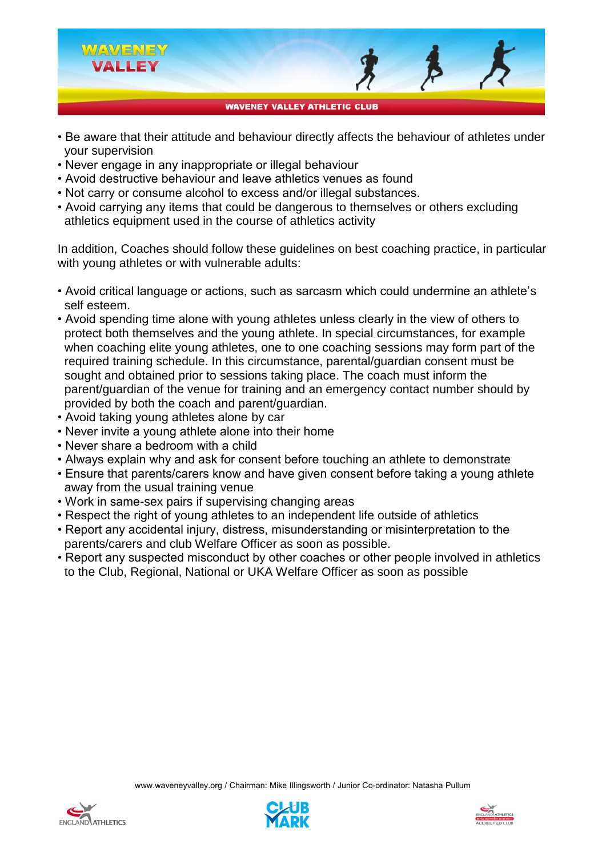

- Be aware that their attitude and behaviour directly affects the behaviour of athletes under your supervision
- Never engage in any inappropriate or illegal behaviour
- Avoid destructive behaviour and leave athletics venues as found
- Not carry or consume alcohol to excess and/or illegal substances.
- Avoid carrying any items that could be dangerous to themselves or others excluding athletics equipment used in the course of athletics activity

In addition, Coaches should follow these guidelines on best coaching practice, in particular with young athletes or with vulnerable adults:

- Avoid critical language or actions, such as sarcasm which could undermine an athlete's self esteem.
- Avoid spending time alone with young athletes unless clearly in the view of others to protect both themselves and the young athlete. In special circumstances, for example when coaching elite young athletes, one to one coaching sessions may form part of the required training schedule. In this circumstance, parental/guardian consent must be sought and obtained prior to sessions taking place. The coach must inform the parent/guardian of the venue for training and an emergency contact number should by provided by both the coach and parent/guardian.
- Avoid taking young athletes alone by car
- Never invite a young athlete alone into their home
- Never share a bedroom with a child
- Always explain why and ask for consent before touching an athlete to demonstrate
- Ensure that parents/carers know and have given consent before taking a young athlete away from the usual training venue
- Work in same-sex pairs if supervising changing areas
- Respect the right of young athletes to an independent life outside of athletics
- Report any accidental injury, distress, misunderstanding or misinterpretation to the parents/carers and club Welfare Officer as soon as possible.
- Report any suspected misconduct by other coaches or other people involved in athletics to the Club, Regional, National or UKA Welfare Officer as soon as possible





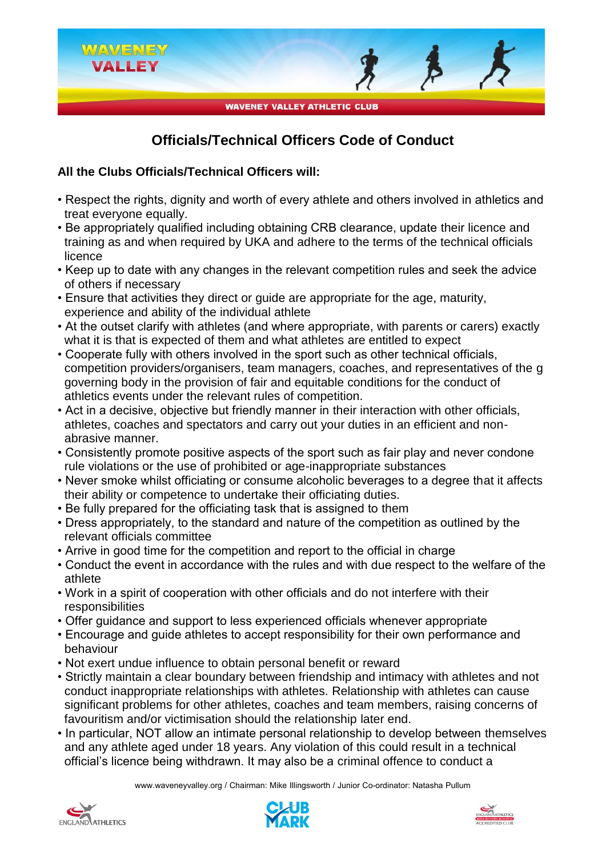

# **Officials/Technical Officers Code of Conduct**

#### **All the Clubs Officials/Technical Officers will:**

- Respect the rights, dignity and worth of every athlete and others involved in athletics and treat everyone equally.
- Be appropriately qualified including obtaining CRB clearance, update their licence and training as and when required by UKA and adhere to the terms of the technical officials licence
- Keep up to date with any changes in the relevant competition rules and seek the advice of others if necessary
- Ensure that activities they direct or guide are appropriate for the age, maturity, experience and ability of the individual athlete
- At the outset clarify with athletes (and where appropriate, with parents or carers) exactly what it is that is expected of them and what athletes are entitled to expect
- Cooperate fully with others involved in the sport such as other technical officials, competition providers/organisers, team managers, coaches, and representatives of the g governing body in the provision of fair and equitable conditions for the conduct of athletics events under the relevant rules of competition.
- Act in a decisive, objective but friendly manner in their interaction with other officials, athletes, coaches and spectators and carry out your duties in an efficient and nonabrasive manner.
- Consistently promote positive aspects of the sport such as fair play and never condone rule violations or the use of prohibited or age-inappropriate substances
- Never smoke whilst officiating or consume alcoholic beverages to a degree that it affects their ability or competence to undertake their officiating duties.
- Be fully prepared for the officiating task that is assigned to them
- Dress appropriately, to the standard and nature of the competition as outlined by the relevant officials committee
- Arrive in good time for the competition and report to the official in charge
- Conduct the event in accordance with the rules and with due respect to the welfare of the athlete
- Work in a spirit of cooperation with other officials and do not interfere with their responsibilities
- Offer guidance and support to less experienced officials whenever appropriate
- Encourage and guide athletes to accept responsibility for their own performance and behaviour
- Not exert undue influence to obtain personal benefit or reward
- Strictly maintain a clear boundary between friendship and intimacy with athletes and not conduct inappropriate relationships with athletes. Relationship with athletes can cause significant problems for other athletes, coaches and team members, raising concerns of favouritism and/or victimisation should the relationship later end.
- In particular, NOT allow an intimate personal relationship to develop between themselves and any athlete aged under 18 years. Any violation of this could result in a technical official's licence being withdrawn. It may also be a criminal offence to conduct a





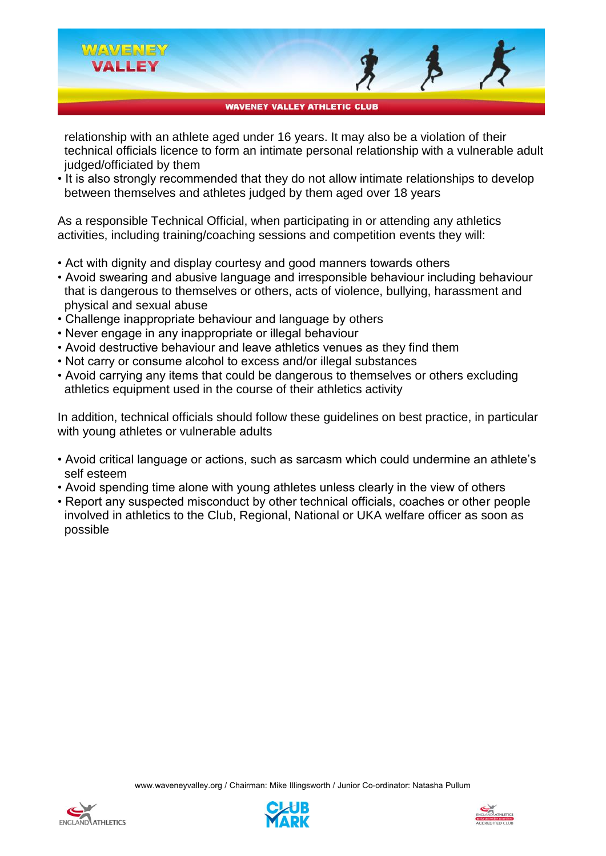

 relationship with an athlete aged under 16 years. It may also be a violation of their technical officials licence to form an intimate personal relationship with a vulnerable adult judged/officiated by them

• It is also strongly recommended that they do not allow intimate relationships to develop between themselves and athletes judged by them aged over 18 years

As a responsible Technical Official, when participating in or attending any athletics activities, including training/coaching sessions and competition events they will:

- Act with dignity and display courtesy and good manners towards others
- Avoid swearing and abusive language and irresponsible behaviour including behaviour that is dangerous to themselves or others, acts of violence, bullying, harassment and physical and sexual abuse
- Challenge inappropriate behaviour and language by others
- Never engage in any inappropriate or illegal behaviour
- Avoid destructive behaviour and leave athletics venues as they find them
- Not carry or consume alcohol to excess and/or illegal substances
- Avoid carrying any items that could be dangerous to themselves or others excluding athletics equipment used in the course of their athletics activity

In addition, technical officials should follow these guidelines on best practice, in particular with young athletes or vulnerable adults

- Avoid critical language or actions, such as sarcasm which could undermine an athlete's self esteem
- Avoid spending time alone with young athletes unless clearly in the view of others
- Report any suspected misconduct by other technical officials, coaches or other people involved in athletics to the Club, Regional, National or UKA welfare officer as soon as possible





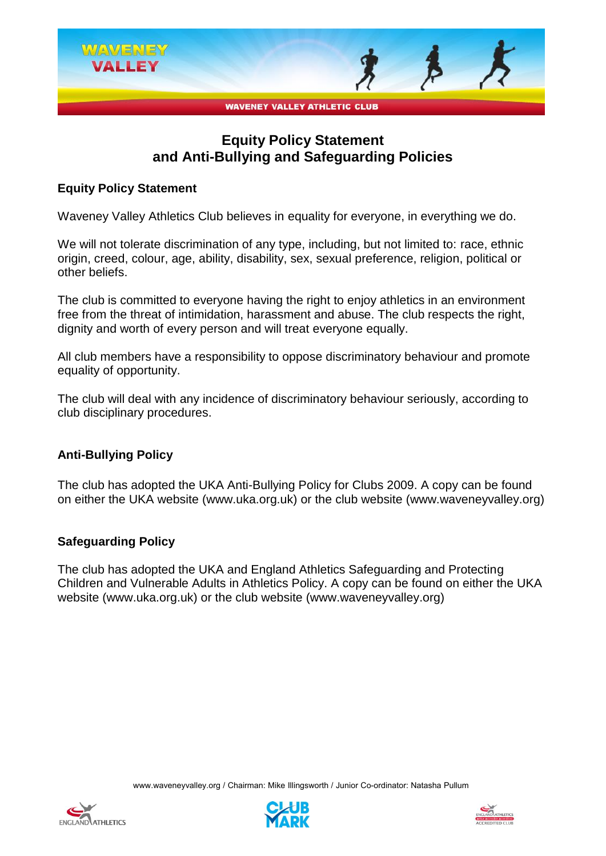

### **Equity Policy Statement and Anti-Bullying and Safeguarding Policies**

#### **Equity Policy Statement**

Waveney Valley Athletics Club believes in equality for everyone, in everything we do.

We will not tolerate discrimination of any type, including, but not limited to: race, ethnic origin, creed, colour, age, ability, disability, sex, sexual preference, religion, political or other beliefs.

The club is committed to everyone having the right to enjoy athletics in an environment free from the threat of intimidation, harassment and abuse. The club respects the right, dignity and worth of every person and will treat everyone equally.

All club members have a responsibility to oppose discriminatory behaviour and promote equality of opportunity.

The club will deal with any incidence of discriminatory behaviour seriously, according to club disciplinary procedures.

#### **Anti-Bullying Policy**

The club has adopted the UKA Anti-Bullying Policy for Clubs 2009. A copy can be found on either the UKA website (www.uka.org.uk) or the club website (www.waveneyvalley.org)

#### **Safeguarding Policy**

The club has adopted the UKA and England Athletics Safeguarding and Protecting Children and Vulnerable Adults in Athletics Policy. A copy can be found on either the UKA website (www.uka.org.uk) or the club website (www.waveneyvalley.org)